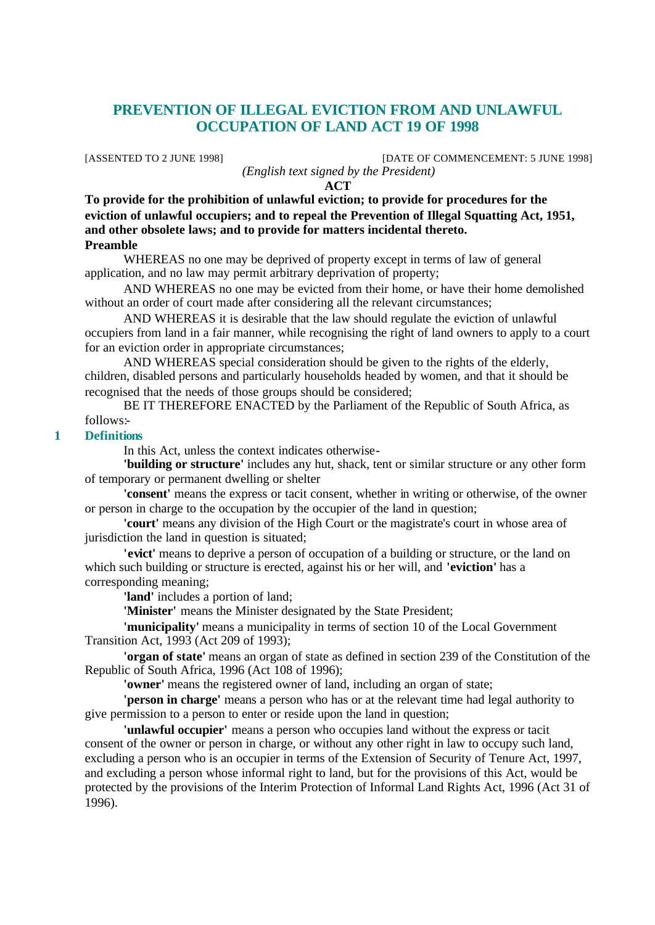# **PREVENTION OF ILLEGAL EVICTION FROM AND UNLAWFUL OCCUPATION OF LAND ACT 19 OF 1998**

[ASSENTED TO 2 JUNE 1998] [DATE OF COMMENCEMENT: 5 JUNE 1998] *(English text signed by the President)*

**ACT**

**To provide for the prohibition of unlawful eviction; to provide for procedures for the eviction of unlawful occupiers; and to repeal the Prevention of Illegal Squatting Act, 1951, and other obsolete laws; and to provide for matters incidental thereto. Preamble**

WHEREAS no one may be deprived of property except in terms of law of general application, and no law may permit arbitrary deprivation of property;

AND WHEREAS no one may be evicted from their home, or have their home demolished without an order of court made after considering all the relevant circumstances;

AND WHEREAS it is desirable that the law should regulate the eviction of unlawful occupiers from land in a fair manner, while recognising the right of land owners to apply to a court for an eviction order in appropriate circumstances;

AND WHEREAS special consideration should be given to the rights of the elderly, children, disabled persons and particularly households headed by women, and that it should be recognised that the needs of those groups should be considered;

BE IT THEREFORE ENACTED by the Parliament of the Republic of South Africa, as follows:-

### **1 Definitions**

In this Act, unless the context indicates otherwise-

**'building or structure'** includes any hut, shack, tent or similar structure or any other form of temporary or permanent dwelling or shelter

**'consent'** means the express or tacit consent, whether in writing or otherwise, of the owner or person in charge to the occupation by the occupier of the land in question;

**'court'** means any division of the High Court or the magistrate's court in whose area of jurisdiction the land in question is situated;

**'evict'** means to deprive a person of occupation of a building or structure, or the land on which such building or structure is erected, against his or her will, and **'eviction'** has a corresponding meaning;

**'land'** includes a portion of land;

**'Minister'** means the Minister designated by the State President;

**'municipality'** means a municipality in terms of section 10 of the Local Government Transition Act, 1993 (Act 209 of 1993);

**'organ of state'** means an organ of state as defined in section 239 of the Constitution of the Republic of South Africa, 1996 (Act 108 of 1996);

**'owner'** means the registered owner of land, including an organ of state;

**'person in charge'** means a person who has or at the relevant time had legal authority to give permission to a person to enter or reside upon the land in question;

**'unlawful occupier'** means a person who occupies land without the express or tacit consent of the owner or person in charge, or without any other right in law to occupy such land, excluding a person who is an occupier in terms of the Extension of Security of Tenure Act, 1997, and excluding a person whose informal right to land, but for the provisions of this Act, would be protected by the provisions of the Interim Protection of Informal Land Rights Act, 1996 (Act 31 of 1996).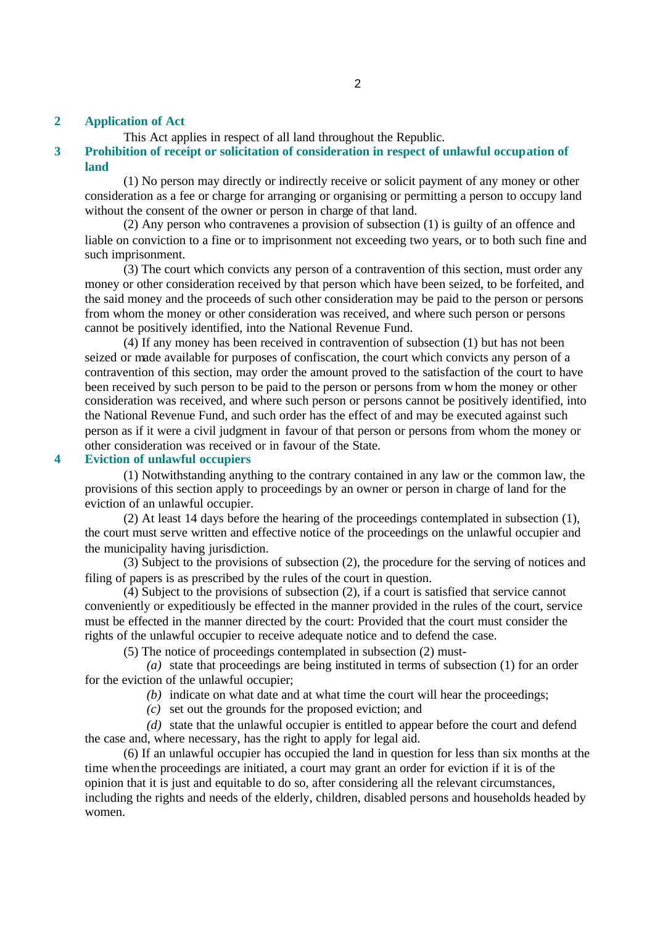### **2 Application of Act**

This Act applies in respect of all land throughout the Republic.

## **3 Prohibition of receipt or solicitation of consideration in respect of unlawful occupation of land**

(1) No person may directly or indirectly receive or solicit payment of any money or other consideration as a fee or charge for arranging or organising or permitting a person to occupy land without the consent of the owner or person in charge of that land.

(2) Any person who contravenes a provision of subsection (1) is guilty of an offence and liable on conviction to a fine or to imprisonment not exceeding two years, or to both such fine and such imprisonment.

(3) The court which convicts any person of a contravention of this section, must order any money or other consideration received by that person which have been seized, to be forfeited, and the said money and the proceeds of such other consideration may be paid to the person or persons from whom the money or other consideration was received, and where such person or persons cannot be positively identified, into the National Revenue Fund.

(4) If any money has been received in contravention of subsection (1) but has not been seized or made available for purposes of confiscation, the court which convicts any person of a contravention of this section, may order the amount proved to the satisfaction of the court to have been received by such person to be paid to the person or persons from whom the money or other consideration was received, and where such person or persons cannot be positively identified, into the National Revenue Fund, and such order has the effect of and may be executed against such person as if it were a civil judgment in favour of that person or persons from whom the money or other consideration was received or in favour of the State.

## **4 Eviction of unlawful occupiers**

(1) Notwithstanding anything to the contrary contained in any law or the common law, the provisions of this section apply to proceedings by an owner or person in charge of land for the eviction of an unlawful occupier.

(2) At least 14 days before the hearing of the proceedings contemplated in subsection (1), the court must serve written and effective notice of the proceedings on the unlawful occupier and the municipality having jurisdiction.

(3) Subject to the provisions of subsection (2), the procedure for the serving of notices and filing of papers is as prescribed by the rules of the court in question.

(4) Subject to the provisions of subsection (2), if a court is satisfied that service cannot conveniently or expeditiously be effected in the manner provided in the rules of the court, service must be effected in the manner directed by the court: Provided that the court must consider the rights of the unlawful occupier to receive adequate notice and to defend the case.

(5) The notice of proceedings contemplated in subsection (2) must-

*(a)* state that proceedings are being instituted in terms of subsection (1) for an order for the eviction of the unlawful occupier;

*(b)* indicate on what date and at what time the court will hear the proceedings;

*(c)* set out the grounds for the proposed eviction; and

*(d)* state that the unlawful occupier is entitled to appear before the court and defend the case and, where necessary, has the right to apply for legal aid.

(6) If an unlawful occupier has occupied the land in question for less than six months at the time when the proceedings are initiated, a court may grant an order for eviction if it is of the opinion that it is just and equitable to do so, after considering all the relevant circumstances, including the rights and needs of the elderly, children, disabled persons and households headed by women.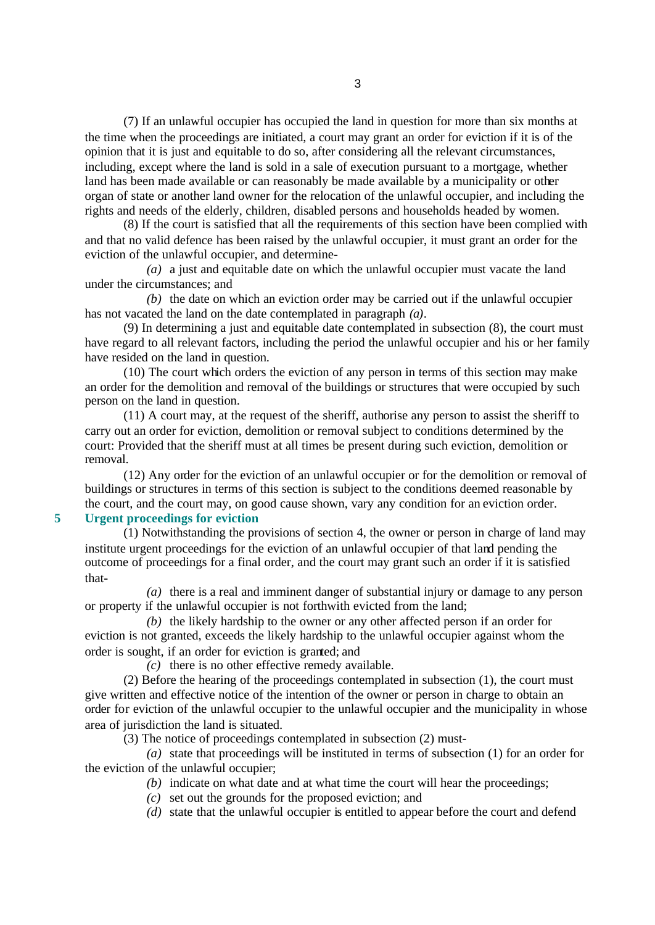(7) If an unlawful occupier has occupied the land in question for more than six months at the time when the proceedings are initiated, a court may grant an order for eviction if it is of the opinion that it is just and equitable to do so, after considering all the relevant circumstances, including, except where the land is sold in a sale of execution pursuant to a mortgage, whether land has been made available or can reasonably be made available by a municipality or other organ of state or another land owner for the relocation of the unlawful occupier, and including the rights and needs of the elderly, children, disabled persons and households headed by women.

(8) If the court is satisfied that all the requirements of this section have been complied with and that no valid defence has been raised by the unlawful occupier, it must grant an order for the eviction of the unlawful occupier, and determine-

*(a)* a just and equitable date on which the unlawful occupier must vacate the land under the circumstances; and

*(b)* the date on which an eviction order may be carried out if the unlawful occupier has not vacated the land on the date contemplated in paragraph *(a)*.

(9) In determining a just and equitable date contemplated in subsection (8), the court must have regard to all relevant factors, including the period the unlawful occupier and his or her family have resided on the land in question.

(10) The court which orders the eviction of any person in terms of this section may make an order for the demolition and removal of the buildings or structures that were occupied by such person on the land in question.

(11) A court may, at the request of the sheriff, authorise any person to assist the sheriff to carry out an order for eviction, demolition or removal subject to conditions determined by the court: Provided that the sheriff must at all times be present during such eviction, demolition or removal.

(12) Any order for the eviction of an unlawful occupier or for the demolition or removal of buildings or structures in terms of this section is subject to the conditions deemed reasonable by the court, and the court may, on good cause shown, vary any condition for an eviction order.

**5 Urgent proceedings for eviction**

(1) Notwithstanding the provisions of section 4, the owner or person in charge of land may institute urgent proceedings for the eviction of an unlawful occupier of that land pending the outcome of proceedings for a final order, and the court may grant such an order if it is satisfied that-

*(a)* there is a real and imminent danger of substantial injury or damage to any person or property if the unlawful occupier is not forthwith evicted from the land;

*(b)* the likely hardship to the owner or any other affected person if an order for eviction is not granted, exceeds the likely hardship to the unlawful occupier against whom the order is sought, if an order for eviction is granted; and

*(c)* there is no other effective remedy available.

(2) Before the hearing of the proceedings contemplated in subsection (1), the court must give written and effective notice of the intention of the owner or person in charge to obtain an order for eviction of the unlawful occupier to the unlawful occupier and the municipality in whose area of jurisdiction the land is situated.

(3) The notice of proceedings contemplated in subsection (2) must-

*(a)* state that proceedings will be instituted in terms of subsection (1) for an order for the eviction of the unlawful occupier;

*(b)* indicate on what date and at what time the court will hear the proceedings;

*(c)* set out the grounds for the proposed eviction; and

*(d)* state that the unlawful occupier is entitled to appear before the court and defend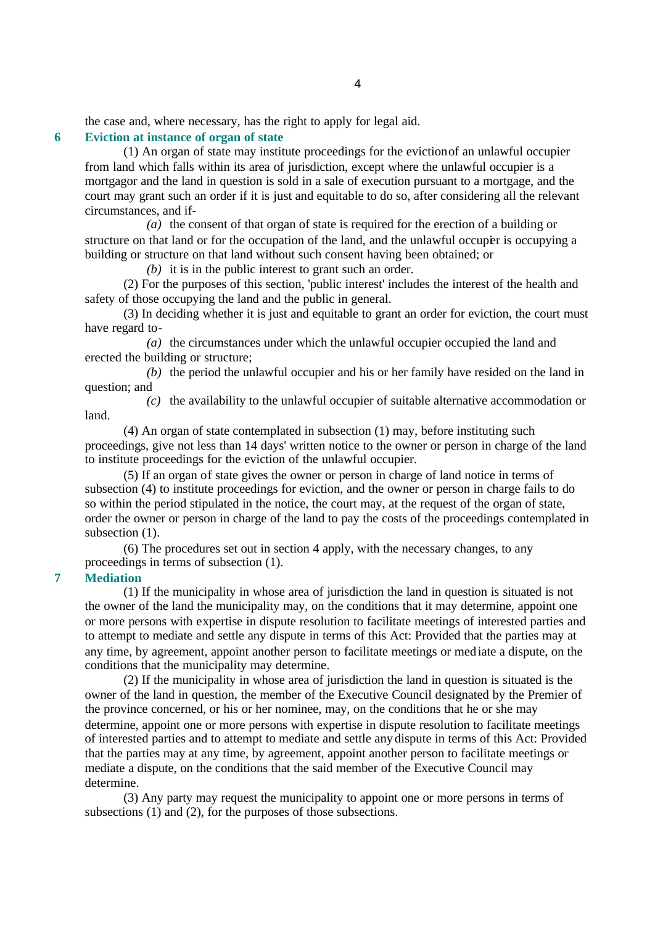the case and, where necessary, has the right to apply for legal aid.

## **6 Eviction at instance of organ of state**

(1) An organ of state may institute proceedings for the eviction of an unlawful occupier from land which falls within its area of jurisdiction, except where the unlawful occupier is a mortgagor and the land in question is sold in a sale of execution pursuant to a mortgage, and the court may grant such an order if it is just and equitable to do so, after considering all the relevant circumstances, and if-

*(a)* the consent of that organ of state is required for the erection of a building or structure on that land or for the occupation of the land, and the unlawful occuper is occupying a building or structure on that land without such consent having been obtained; or

*(b)* it is in the public interest to grant such an order.

(2) For the purposes of this section, 'public interest' includes the interest of the health and safety of those occupying the land and the public in general.

(3) In deciding whether it is just and equitable to grant an order for eviction, the court must have regard to-

*(a)* the circumstances under which the unlawful occupier occupied the land and erected the building or structure;

*(b)* the period the unlawful occupier and his or her family have resided on the land in question; and

*(c)* the availability to the unlawful occupier of suitable alternative accommodation or land.

(4) An organ of state contemplated in subsection (1) may, before instituting such proceedings, give not less than 14 days' written notice to the owner or person in charge of the land to institute proceedings for the eviction of the unlawful occupier.

(5) If an organ of state gives the owner or person in charge of land notice in terms of subsection (4) to institute proceedings for eviction, and the owner or person in charge fails to do so within the period stipulated in the notice, the court may, at the request of the organ of state, order the owner or person in charge of the land to pay the costs of the proceedings contemplated in subsection  $(1)$ .

(6) The procedures set out in section 4 apply, with the necessary changes, to any proceedings in terms of subsection (1).

**7 Mediation**

(1) If the municipality in whose area of jurisdiction the land in question is situated is not the owner of the land the municipality may, on the conditions that it may determine, appoint one or more persons with expertise in dispute resolution to facilitate meetings of interested parties and to attempt to mediate and settle any dispute in terms of this Act: Provided that the parties may at any time, by agreement, appoint another person to facilitate meetings or mediate a dispute, on the conditions that the municipality may determine.

(2) If the municipality in whose area of jurisdiction the land in question is situated is the owner of the land in question, the member of the Executive Council designated by the Premier of the province concerned, or his or her nominee, may, on the conditions that he or she may determine, appoint one or more persons with expertise in dispute resolution to facilitate meetings of interested parties and to attempt to mediate and settle any dispute in terms of this Act: Provided that the parties may at any time, by agreement, appoint another person to facilitate meetings or mediate a dispute, on the conditions that the said member of the Executive Council may determine.

(3) Any party may request the municipality to appoint one or more persons in terms of subsections (1) and (2), for the purposes of those subsections.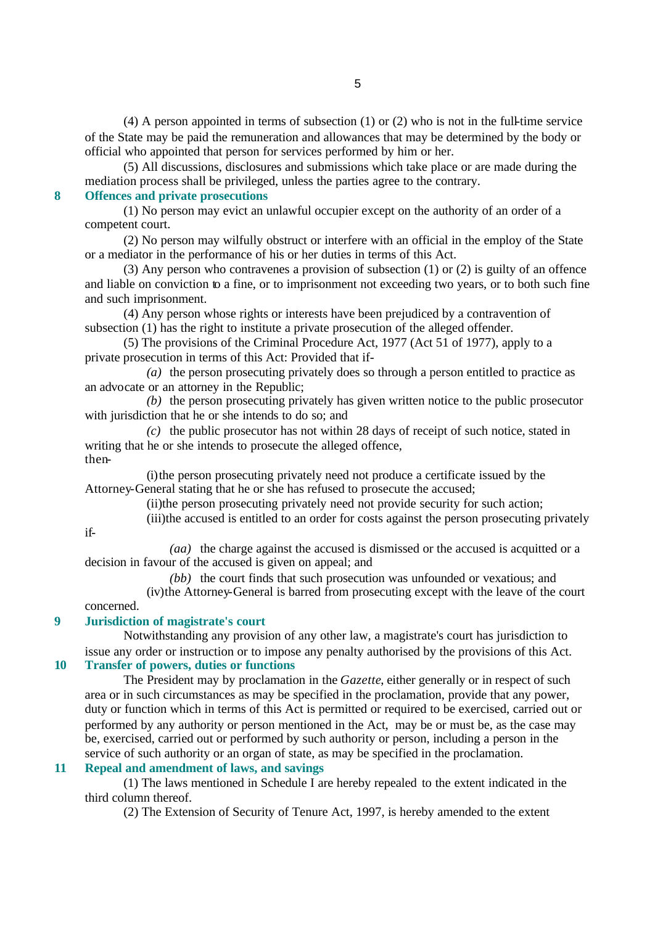(4) A person appointed in terms of subsection (1) or (2) who is not in the full-time service of the State may be paid the remuneration and allowances that may be determined by the body or official who appointed that person for services performed by him or her.

(5) All discussions, disclosures and submissions which take place or are made during the mediation process shall be privileged, unless the parties agree to the contrary.

## **8 Offences and private prosecutions**

(1) No person may evict an unlawful occupier except on the authority of an order of a competent court.

(2) No person may wilfully obstruct or interfere with an official in the employ of the State or a mediator in the performance of his or her duties in terms of this Act.

(3) Any person who contravenes a provision of subsection (1) or (2) is guilty of an offence and liable on conviction to a fine, or to imprisonment not exceeding two years, or to both such fine and such imprisonment.

(4) Any person whose rights or interests have been prejudiced by a contravention of subsection (1) has the right to institute a private prosecution of the alleged offender.

(5) The provisions of the Criminal Procedure Act, 1977 (Act 51 of 1977), apply to a private prosecution in terms of this Act: Provided that if-

*(a)* the person prosecuting privately does so through a person entitled to practice as an advocate or an attorney in the Republic;

*(b)* the person prosecuting privately has given written notice to the public prosecutor with jurisdiction that he or she intends to do so; and

*(c)* the public prosecutor has not within 28 days of receipt of such notice, stated in writing that he or she intends to prosecute the alleged offence, then-

(i)the person prosecuting privately need not produce a certificate issued by the Attorney-General stating that he or she has refused to prosecute the accused;

(ii)the person prosecuting privately need not provide security for such action;

(iii)the accused is entitled to an order for costs against the person prosecuting privately

*(aa)* the charge against the accused is dismissed or the accused is acquitted or a decision in favour of the accused is given on appeal; and

*(bb)* the court finds that such prosecution was unfounded or vexatious; and (iv)the Attorney-General is barred from prosecuting except with the leave of the court concerned.

## **9 Jurisdiction of magistrate's court**

if-

Notwithstanding any provision of any other law, a magistrate's court has jurisdiction to issue any order or instruction or to impose any penalty authorised by the provisions of this Act.

# **10 Transfer of powers, duties or functions**

The President may by proclamation in the *Gazette*, either generally or in respect of such area or in such circumstances as may be specified in the proclamation, provide that any power, duty or function which in terms of this Act is permitted or required to be exercised, carried out or performed by any authority or person mentioned in the Act, may be or must be, as the case may be, exercised, carried out or performed by such authority or person, including a person in the service of such authority or an organ of state, as may be specified in the proclamation.

## **11 Repeal and amendment of laws, and savings**

(1) The laws mentioned in Schedule I are hereby repealed to the extent indicated in the third column thereof.

(2) The Extension of Security of Tenure Act, 1997, is hereby amended to the extent